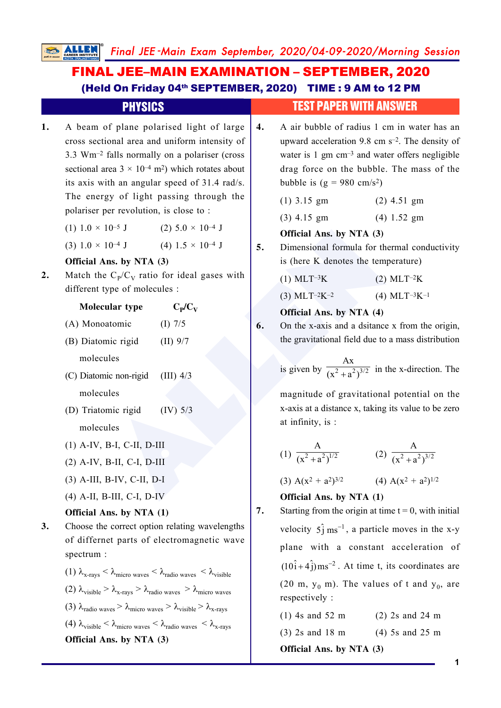|    | FINAL JEE-MAIN EXAMINATION – SEPTEMBER, 2020<br>(Held On Friday 04th SEPTEMBER, 2020) TIME : 9 AM to 12 PM                                                                                                                                                                                                                                                                                                                                                                                                                                                                                                                                    |    |                                                                                                                                                                                                                                                                                                  |  |
|----|-----------------------------------------------------------------------------------------------------------------------------------------------------------------------------------------------------------------------------------------------------------------------------------------------------------------------------------------------------------------------------------------------------------------------------------------------------------------------------------------------------------------------------------------------------------------------------------------------------------------------------------------------|----|--------------------------------------------------------------------------------------------------------------------------------------------------------------------------------------------------------------------------------------------------------------------------------------------------|--|
|    | <b>PHYSICS</b>                                                                                                                                                                                                                                                                                                                                                                                                                                                                                                                                                                                                                                |    | <b>TEST PAPER WITH ANSWER</b>                                                                                                                                                                                                                                                                    |  |
| 1. | A beam of plane polarised light of large<br>cross sectional area and uniform intensity of<br>3.3 Wm <sup>-2</sup> falls normally on a polariser (cross<br>sectional area $3 \times 10^{-4}$ m <sup>2</sup> ) which rotates about<br>its axis with an angular speed of 31.4 rad/s.<br>The energy of light passing through the                                                                                                                                                                                                                                                                                                                  |    | A air bubble of radius 1 cm in water has an<br>upward acceleration 9.8 cm s <sup>-2</sup> . The density of<br>water is $1 \text{ gm cm}^{-3}$ and water offers negligible<br>drag force on the bubble. The mass of the<br>bubble is $(g = 980 \text{ cm/s}^2)$<br>$(1)$ 3.15 gm<br>$(2)$ 4.51 gm |  |
|    | polariser per revolution, is close to:                                                                                                                                                                                                                                                                                                                                                                                                                                                                                                                                                                                                        |    | $(3)$ 4.15 gm<br>$(4)$ 1.52 gm                                                                                                                                                                                                                                                                   |  |
|    | (1) $1.0 \times 10^{-5}$ J (2) $5.0 \times 10^{-4}$ J                                                                                                                                                                                                                                                                                                                                                                                                                                                                                                                                                                                         | 5. | Official Ans. by NTA (3)                                                                                                                                                                                                                                                                         |  |
|    | $(4)$ 1.5 $\times$ 10 <sup>-4</sup> J<br>$(3) 1.0 \times 10^{-4}$ J                                                                                                                                                                                                                                                                                                                                                                                                                                                                                                                                                                           |    | Dimensional formula for thermal conductivity                                                                                                                                                                                                                                                     |  |
|    | Official Ans. by NTA (3)                                                                                                                                                                                                                                                                                                                                                                                                                                                                                                                                                                                                                      |    | is (here K denotes the temperature)                                                                                                                                                                                                                                                              |  |
| 2. | Match the $C_p/C_V$ ratio for ideal gases with<br>different type of molecules :                                                                                                                                                                                                                                                                                                                                                                                                                                                                                                                                                               |    | $(1)$ MLT <sup>-3</sup> K<br>$(2)$ MLT <sup>-2</sup> K                                                                                                                                                                                                                                           |  |
|    | Molecular type                                                                                                                                                                                                                                                                                                                                                                                                                                                                                                                                                                                                                                |    | (4) MLT <sup>-3</sup> K <sup>-1</sup><br>$(3)$ MLT <sup>-2</sup> K <sup>-2</sup>                                                                                                                                                                                                                 |  |
|    | $C_P/C_V$                                                                                                                                                                                                                                                                                                                                                                                                                                                                                                                                                                                                                                     |    | Official Ans. by NTA (4)                                                                                                                                                                                                                                                                         |  |
|    | (A) Monoatomic<br>$(I)$ 7/5                                                                                                                                                                                                                                                                                                                                                                                                                                                                                                                                                                                                                   | 6. | On the x-axis and a dsitance x from the origin,<br>the gravitational field due to a mass distribution                                                                                                                                                                                            |  |
|    | (B) Diatomic rigid<br>$(II)$ 9/7                                                                                                                                                                                                                                                                                                                                                                                                                                                                                                                                                                                                              |    |                                                                                                                                                                                                                                                                                                  |  |
|    | molecules<br>(C) Diatomic non-rigid<br>$(III)$ 4/3                                                                                                                                                                                                                                                                                                                                                                                                                                                                                                                                                                                            |    | is given by $\frac{Ax}{(x^2 + a^2)^{3/2}}$ in the x-direction. The                                                                                                                                                                                                                               |  |
|    | molecules                                                                                                                                                                                                                                                                                                                                                                                                                                                                                                                                                                                                                                     |    | magnitude of gravitational potential on the                                                                                                                                                                                                                                                      |  |
|    | (D) Triatomic rigid<br>$(IV)$ 5/3<br>molecules                                                                                                                                                                                                                                                                                                                                                                                                                                                                                                                                                                                                |    | x-axis at a distance x, taking its value to be zero<br>at infinity, is :                                                                                                                                                                                                                         |  |
|    | (1) A-IV, B-I, C-II, D-III<br>$(2)$ A-IV, B-II, C-I, D-III<br>$(3)$ A-III, B-IV, C-II, D-I                                                                                                                                                                                                                                                                                                                                                                                                                                                                                                                                                    |    |                                                                                                                                                                                                                                                                                                  |  |
|    |                                                                                                                                                                                                                                                                                                                                                                                                                                                                                                                                                                                                                                               |    | (1) $\frac{A}{(x^2 + a^2)^{1/2}}$ (2) $\frac{A}{(x^2 + a^2)^{3/2}}$                                                                                                                                                                                                                              |  |
|    |                                                                                                                                                                                                                                                                                                                                                                                                                                                                                                                                                                                                                                               |    | (3) $A(x^2 + a^2)^{3/2}$<br>(4) $A(x^2 + a^2)^{1/2}$                                                                                                                                                                                                                                             |  |
|    | $(4)$ A-II, B-III, C-I, D-IV                                                                                                                                                                                                                                                                                                                                                                                                                                                                                                                                                                                                                  |    | Official Ans. by NTA (1)                                                                                                                                                                                                                                                                         |  |
|    | Official Ans. by NTA (1)                                                                                                                                                                                                                                                                                                                                                                                                                                                                                                                                                                                                                      |    | Starting from the origin at time $t = 0$ , with initial                                                                                                                                                                                                                                          |  |
| 3. | Choose the correct option relating wavelengths<br>of differnet parts of electromagnetic wave<br>spectrum:<br>(1) $\lambda_{x\text{-rays}} < \lambda_{\text{micro waves}} < \lambda_{\text{radio waves}} < \lambda_{\text{visible}}$<br>(2) $\lambda_{\text{visible}} > \lambda_{\text{x-rays}} > \lambda_{\text{radio waves}} > \lambda_{\text{micro waves}}$<br>(3) $\lambda_{\text{radio waves}} > \lambda_{\text{micro waves}} > \lambda_{\text{visible}} > \lambda_{\text{x-rays}}$<br>(4) $\lambda_{\text{visible}} < \lambda_{\text{micro waves}} < \lambda_{\text{radio waves}} < \lambda_{\text{x-rays}}$<br>Official Ans. by NTA (3) |    | velocity $5\hat{j}$ ms <sup>-1</sup> , a particle moves in the x-y                                                                                                                                                                                                                               |  |
|    |                                                                                                                                                                                                                                                                                                                                                                                                                                                                                                                                                                                                                                               |    | plane with a constant acceleration of                                                                                                                                                                                                                                                            |  |
|    |                                                                                                                                                                                                                                                                                                                                                                                                                                                                                                                                                                                                                                               |    | $(10i+4j)$ ms <sup>-2</sup> . At time t, its coordinates are                                                                                                                                                                                                                                     |  |
|    |                                                                                                                                                                                                                                                                                                                                                                                                                                                                                                                                                                                                                                               |    | $(20 \text{ m}, y_0 \text{ m})$ . The values of t and $y_0$ , are                                                                                                                                                                                                                                |  |
|    |                                                                                                                                                                                                                                                                                                                                                                                                                                                                                                                                                                                                                                               |    | respectively :                                                                                                                                                                                                                                                                                   |  |
|    |                                                                                                                                                                                                                                                                                                                                                                                                                                                                                                                                                                                                                                               |    | $(1)$ 4s and 52 m<br>$(2)$ 2s and 24 m                                                                                                                                                                                                                                                           |  |
|    |                                                                                                                                                                                                                                                                                                                                                                                                                                                                                                                                                                                                                                               |    | $(3)$ 2s and 18 m<br>$(4)$ 5s and 25 m                                                                                                                                                                                                                                                           |  |
|    |                                                                                                                                                                                                                                                                                                                                                                                                                                                                                                                                                                                                                                               |    | Official Ans. by NTA (3)                                                                                                                                                                                                                                                                         |  |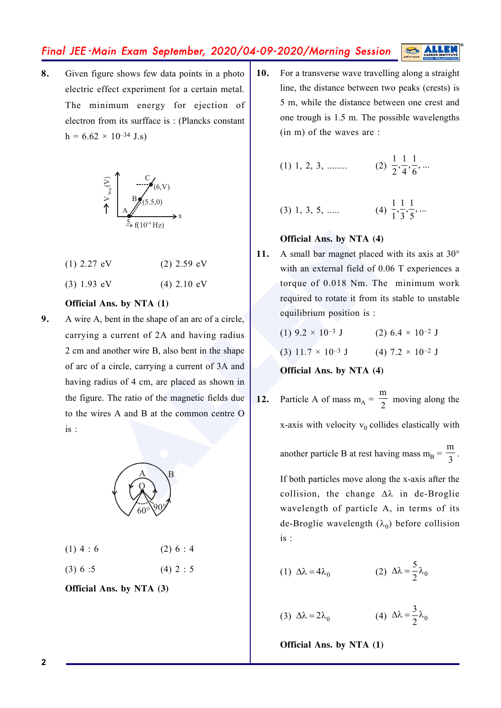**8.** Given figure shows few data points in a photo electric effect experiment for a certain metal. The minimum energy for ejection of electron from its surfface is : (Plancks constant  $h = 6.62 \times 10^{-34}$  J.s)



- (1)  $2.27 \text{ eV}$  (2)  $2.59 \text{ eV}$
- (3)  $1.93 \text{ eV}$  (4)  $2.10 \text{ eV}$

#### **Official Ans. by NTA (1)**

Official Ans. by NTA (4)<br>
eV (2) 2.59 eV<br>
(4) 2.10 eV<br>
Ans. by NTA (1)<br>
bent in the shape of an arc of a circle,<br>
a current of 2A and having radius<br>
another wire B, also bent in the shape<br>
(3) 11.7 × 10<sup>-3</sup> J (2) 6.4<br>
ano **9.** A wire A, bent in the shape of an arc of a circle, carrying a current of 2A and having radius 2 cm and another wire B, also bent in the shape of arc of a circle, carrying a current of 3A and having radius of 4 cm, are placed as shown in the figure. The ratio of the magnetic fields due to the wires A and B at the common centre O is :



| $(1)$ 4 : 6 | (2) 6 : 4 |  |  |  |
|-------------|-----------|--|--|--|
|-------------|-----------|--|--|--|

(3)  $6:5$  (4)  $2:5$ 

**Official Ans. by NTA (3)**

**10.** For a transverse wave travelling along a straight line, the distance between two peaks (crests) is 5 m, while the distance between one crest and one trough is 1.5 m. The possible wavelengths (in m) of the waves are :

(1) 1, 2, 3, .......   
(2) 
$$
\frac{1}{2}, \frac{1}{4}, \frac{1}{6}, ...
$$

(3) 1, 3, 5, ....   
(4) 
$$
\frac{1}{1}, \frac{1}{3}, \frac{1}{5}, ...
$$

### **Official Ans. by NTA (4)**

11. A small bar magnet placed with its axis at 30° with an external field of 0.06 T experiences a torque of 0.018 Nm. The minimum work required to rotate it from its stable to unstable equilibrium position is :

(1) 
$$
9.2 \times 10^{-3}
$$
 J  
(2)  $6.4 \times 10^{-2}$  J  
(3)  $11.7 \times 10^{-3}$  J  
(4)  $7.2 \times 10^{-2}$  J

#### **Official Ans. by NTA (4)**

**12.** Particle A of mass  $m_A = \frac{m}{2}$  moving along the x-axis with velocity  $v_0$  collides elastically with

another particle B at rest having mass  $m_B = \frac{m}{3}$ .

If both particles move along the x-axis after the collision, the change  $\Delta\lambda$  in de-Broglie wavelength of particle A, in terms of its de-Broglie wavelength  $(\lambda_0)$  before collision is :

(1) 
$$
\Delta \lambda = 4\lambda_0
$$
   
 (2)  $\Delta \lambda = \frac{5}{2}\lambda_0$ 

(3) 
$$
\Delta \lambda = 2\lambda_0
$$
 (4)  $\Delta \lambda = \frac{3}{2}\lambda_0$ 

**Official Ans. by NTA (1)**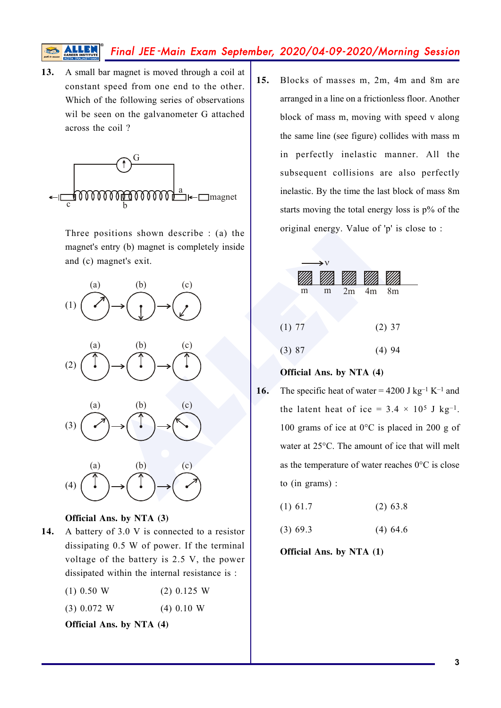**13.** A small bar magnet is moved through a coil at constant speed from one end to the other. Which of the following series of observations wil be seen on the galvanometer G attached across the coil ?



Three positions shown describe : (a) the magnet's entry (b) magnet is completely inside and (c) magnet's exit.



#### **Official Ans. by NTA (3)**

**14.** A battery of 3.0 V is connected to a resistor dissipating 0.5 W of power. If the terminal voltage of the battery is 2.5 V, the power dissipated within the internal resistance is :

| $(1)$ 0.50 W | $(2)$ 0.125 W |
|--------------|---------------|
|--------------|---------------|

(3) 0.072 W (4) 0.10 W

**Official Ans. by NTA (4)**

**15.** Blocks of masses m, 2m, 4m and 8m are arranged in a line on a frictionless floor. Another block of mass m, moving with speed v along the same line (see figure) collides with mass m in perfectly inelastic manner. All the subsequent collisions are also perfectly inelastic. By the time the last block of mass 8m starts moving the total energy loss is p% of the original energy. Value of 'p' is close to :

|        | $\rightarrow$ v |   |    |    |          |  |
|--------|-----------------|---|----|----|----------|--|
|        |                 |   |    |    |          |  |
|        | m               | m | 2m | 4m | 8m       |  |
|        |                 |   |    |    |          |  |
| (1) 77 |                 |   |    |    | $(2)$ 37 |  |
| (3) 87 |                 |   |    |    | $(4)$ 94 |  |
|        |                 |   |    |    |          |  |

### **Official Ans. by NTA (4)**

- **16.** The specific heat of water =  $4200$  J kg<sup>-1</sup> K<sup>-1</sup> and the latent heat of ice =  $3.4 \times 10^5$  J kg<sup>-1</sup>. 100 grams of ice at 0°C is placed in 200 g of water at 25°C. The amount of ice that will melt as the temperature of water reaches 0°C is close to (in grams) :
	- $(1)$  61.7 (2) 63.8
	- $(3)$  69.3  $(4)$  64.6

**Official Ans. by NTA (1)**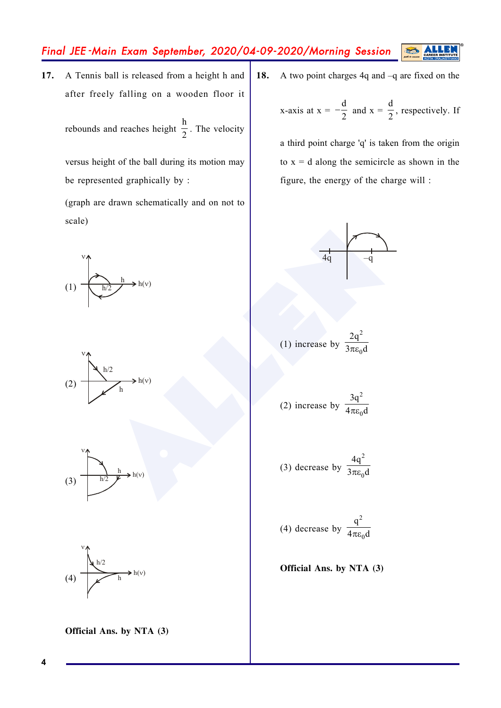**17.** A Tennis ball is released from a height h and after freely falling on a wooden floor it

rebounds and reaches height  $\frac{h}{2}$ . The velocity

versus height of the ball during its motion may be represented graphically by :

(graph are drawn schematically and on not to scale)









(1) increase by

 $4<sub>a</sub>$ 

(3) decrease by 
$$
\frac{4q^2}{3\pi\varepsilon_0 d}
$$

(4) decrease by 
$$
\frac{q^2}{4\pi\varepsilon_0 d}
$$

**Official Ans. by NTA (3)**



**Official Ans. by NTA (3)**

**18.** A two point charges 4q and –q are fixed on the

x-axis at 
$$
x = -\frac{d}{2}
$$
 and  $x = \frac{d}{2}$ , respectively. If

S

a third point charge 'q' is taken from the origin to  $x = d$  along the semicircle as shown in the figure, the energy of the charge will :

> $\frac{2}{0}$ 2q  $3\pi\varepsilon_0 d$

**4**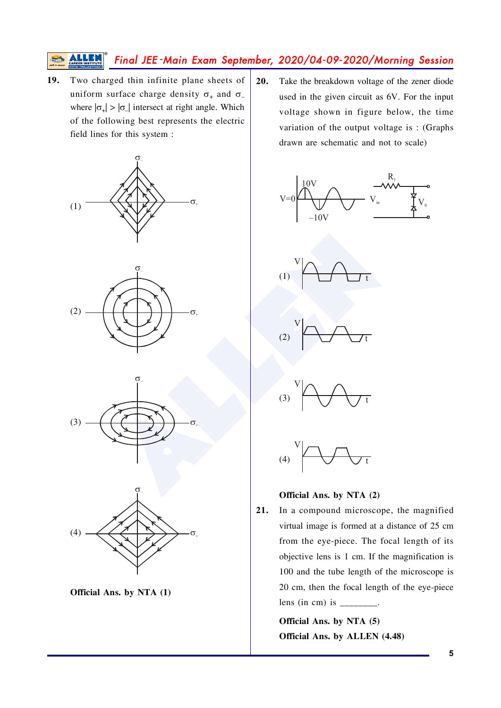Two charged thin infinite plane sheets of 19. uniform surface charge density  $\sigma_+$  and  $\sigma_$ where  $|\sigma_{\perp}| > |\sigma_{\perp}|$  intersect at right angle. Which of the following best represents the electric field lines for this system :











 $20.$ Take the breakdown voltage of the zener diode used in the given circuit as 6V. For the input voltage shown in figure below, the time variation of the output voltage is: (Graphs drawn are schematic and not to scale)













21. In a compound microscope, the magnified virtual image is formed at a distance of 25 cm from the eye-piece. The focal length of its objective lens is 1 cm. If the magnification is 100 and the tube length of the microscope is 20 cm, then the focal length of the eye-piece lens (in cm) is  $\frac{1}{2}$ .

> Official Ans. by NTA (5) Official Ans. by ALLEN (4.48)